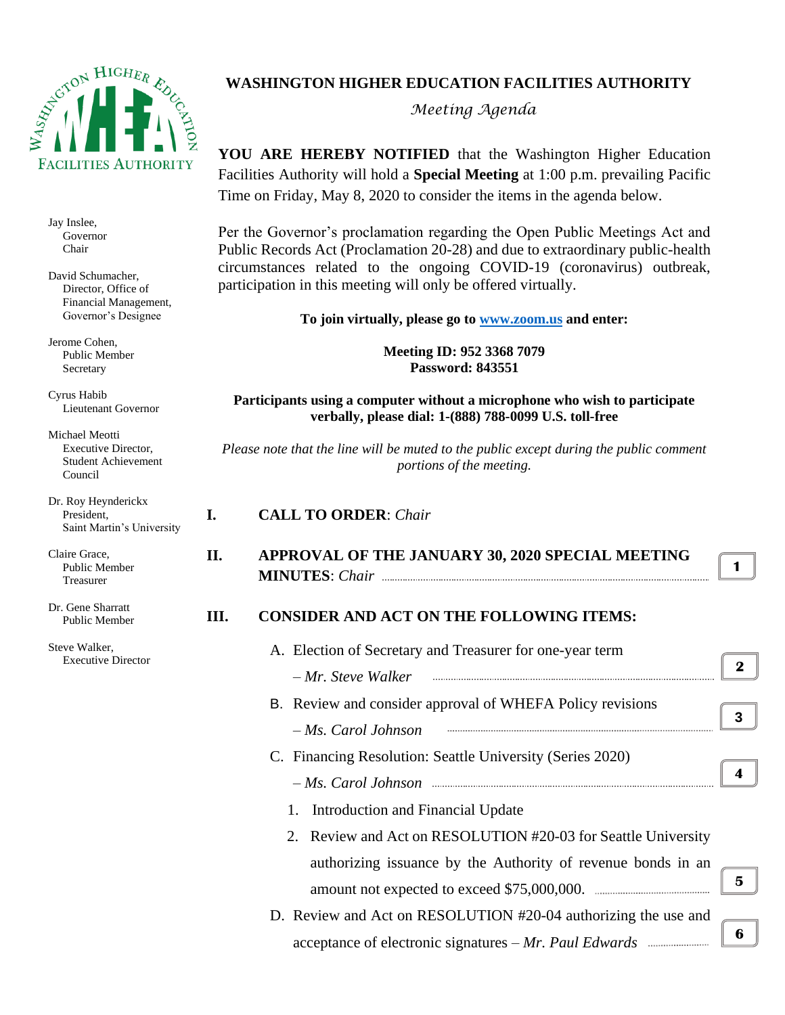

Jay Inslee, Governor Chair

David Schumacher, Director, Office of Financial Management, Governor's Designee

Jerome Cohen, Public Member Secretary

Cyrus Habib Lieutenant Governor

Michael Meotti Executive Director, Student Achievement Council

Dr. Roy Heynderickx President, Saint Martin's University

Claire Grace, Public Member Treasurer

Dr. Gene Sharratt Public Member

Steve Walker, Executive Director

# **WASHINGTON HIGHER EDUCATION FACILITIES AUTHORITY**

*Meeting Agenda*

**YOU ARE HEREBY NOTIFIED** that the Washington Higher Education Facilities Authority will hold a **Special Meeting** at 1:00 p.m. prevailing Pacific Time on Friday, May 8, 2020 to consider the items in the agenda below.

Per the Governor's proclamation regarding the Open Public Meetings Act and Public Records Act (Proclamation 20-28) and due to extraordinary public-health circumstances related to the ongoing COVID-19 (coronavirus) outbreak, participation in this meeting will only be offered virtually.

**To join virtually, please go to [www.zoom.us](http://www.zoom.us/) and enter:**

**Meeting ID: 952 3368 7079 Password: 843551**

**Participants using a computer without a microphone who wish to participate verbally, please dial: 1-(888) 788-0099 U.S. toll-free**

*Please note that the line will be muted to the public except during the public comment portions of the meeting.*

#### **I. CALL TO ORDER**: *Chair*

**II. APPROVAL OF THE JANUARY 30, 2020 SPECIAL MEETING MINUTES**: *Chair*

**1**

# **III. CONSIDER AND ACT ON THE FOLLOWING ITEMS:**

| A. Election of Secretary and Treasurer for one-year term       |   |  |  |
|----------------------------------------------------------------|---|--|--|
| $-Mr$ . Steve Walker                                           | 2 |  |  |
| B. Review and consider approval of WHEFA Policy revisions      |   |  |  |
| $-Ms$ . Carol Johnson                                          | 3 |  |  |
| C. Financing Resolution: Seattle University (Series 2020)      |   |  |  |
|                                                                |   |  |  |
| 1. Introduction and Financial Update                           |   |  |  |
| 2. Review and Act on RESOLUTION #20-03 for Seattle University  |   |  |  |
| authorizing issuance by the Authority of revenue bonds in an   |   |  |  |
|                                                                | 5 |  |  |
| D. Review and Act on RESOLUTION #20-04 authorizing the use and |   |  |  |
|                                                                | 6 |  |  |
|                                                                |   |  |  |